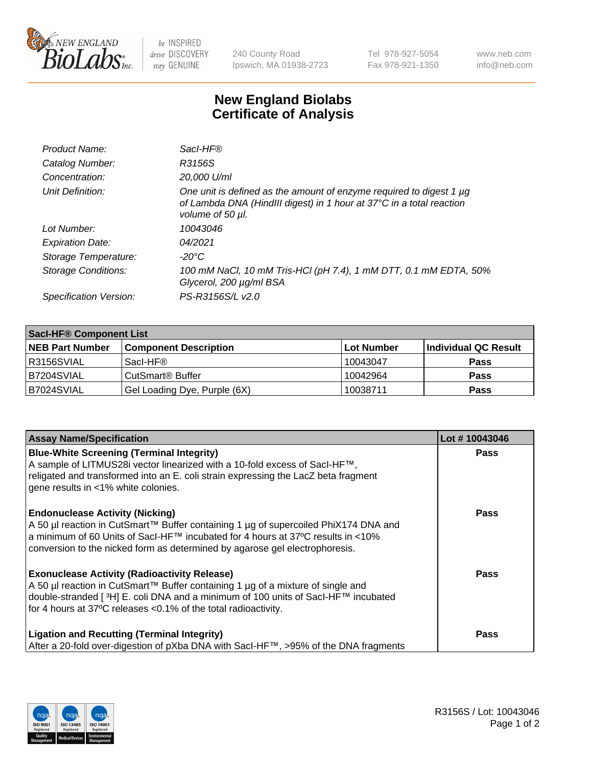

 $be$  INSPIRED drive DISCOVERY stay GENUINE

240 County Road Ipswich, MA 01938-2723 Tel 978-927-5054 Fax 978-921-1350 www.neb.com info@neb.com

## **New England Biolabs Certificate of Analysis**

| Product Name:              | Sacl-HF®                                                                                                                                                        |
|----------------------------|-----------------------------------------------------------------------------------------------------------------------------------------------------------------|
| Catalog Number:            | R3156S                                                                                                                                                          |
| Concentration:             | 20,000 U/ml                                                                                                                                                     |
| Unit Definition:           | One unit is defined as the amount of enzyme required to digest 1 µg<br>of Lambda DNA (HindIII digest) in 1 hour at 37°C in a total reaction<br>volume of 50 µl. |
| Lot Number:                | 10043046                                                                                                                                                        |
| <b>Expiration Date:</b>    | 04/2021                                                                                                                                                         |
| Storage Temperature:       | -20°C                                                                                                                                                           |
| <b>Storage Conditions:</b> | 100 mM NaCl, 10 mM Tris-HCl (pH 7.4), 1 mM DTT, 0.1 mM EDTA, 50%<br>Glycerol, 200 µg/ml BSA                                                                     |
| Specification Version:     | PS-R3156S/L v2.0                                                                                                                                                |

| <b>Saci-HF® Component List</b> |                              |            |                      |  |  |
|--------------------------------|------------------------------|------------|----------------------|--|--|
| <b>NEB Part Number</b>         | <b>Component Description</b> | Lot Number | Individual QC Result |  |  |
| I R3156SVIAL                   | Sacl-HF®                     | 10043047   | <b>Pass</b>          |  |  |
| IB7204SVIAL                    | CutSmart <sup>®</sup> Buffer | 10042964   | <b>Pass</b>          |  |  |
| B7024SVIAL                     | Gel Loading Dye, Purple (6X) | 10038711   | <b>Pass</b>          |  |  |

| <b>Assay Name/Specification</b>                                                                                                                                                                                                                                                                 | Lot #10043046 |
|-------------------------------------------------------------------------------------------------------------------------------------------------------------------------------------------------------------------------------------------------------------------------------------------------|---------------|
| <b>Blue-White Screening (Terminal Integrity)</b><br>A sample of LITMUS28i vector linearized with a 10-fold excess of SacI-HF™,<br>religated and transformed into an E. coli strain expressing the LacZ beta fragment<br>gene results in <1% white colonies.                                     | <b>Pass</b>   |
| <b>Endonuclease Activity (Nicking)</b><br>A 50 µl reaction in CutSmart™ Buffer containing 1 µg of supercoiled PhiX174 DNA and<br>a minimum of 60 Units of Sacl-HF™ incubated for 4 hours at 37°C results in <10%<br>conversion to the nicked form as determined by agarose gel electrophoresis. | <b>Pass</b>   |
| <b>Exonuclease Activity (Radioactivity Release)</b><br>A 50 µl reaction in CutSmart™ Buffer containing 1 µg of a mixture of single and<br> double-stranded [ 3H] E. coli DNA and a minimum of 100 units of Sacl-HF™ incubated<br>for 4 hours at 37°C releases <0.1% of the total radioactivity. | Pass          |
| <b>Ligation and Recutting (Terminal Integrity)</b><br>After a 20-fold over-digestion of pXba DNA with Sacl-HF™, >95% of the DNA fragments                                                                                                                                                       | Pass          |